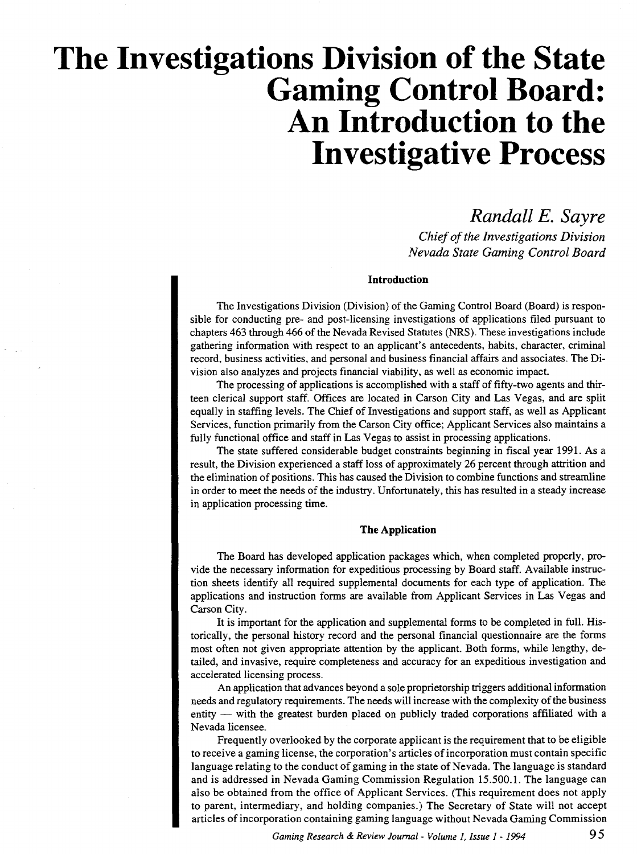# **The Investigations Division of the State Gaming Control Board: An Introduction to the Investigative Process**

# *Randall E. Sayre*

*Chief of the Investigations Division Nevada State Gaming Control Board* 

### **Introduction**

The Investigations Division (Division) of the Gaming Control Board (Board) is responsible for conducting pre- and post-licensing investigations of applications filed pursuant to chapters 463 through 466 of the Nevada Revised Statutes (NRS). These investigations include gathering information with respect to an applicant's antecedents, habits, character, criminal record, business activities, and personal and business financial affairs and associates. The Division also analyzes and projects financial viability, as well as economic impact.

The processing of applications is accomplished with a staff of fifty-two agents and thirteen clerical support staff. Offices are located in Carson City and Las Vegas, and are split equally in staffing levels. The Chief of Investigations and support staff, as well as Applicant Services, function primarily from the Carson City office; Applicant Services also maintains a fully functional office and staff in Las Vegas to assist in processing applications.

The state suffered considerable budget constraints beginning in fiscal year 1991. As a result, the Division experienced a staff loss of approximately 26 percent through attrition and the elimination of positions. This has caused the Division to combine functions and streamline in order to meet the needs of the industry. Unfortunately, this has resulted in a steady increase in application processing time.

#### **The Application**

The Board has developed application packages which, when completed properly, provide the necessary information for expeditious processing by Board staff. Available instruction sheets identify all required supplemental documents for each type of application. The applications and instruction forms are available from Applicant Services in Las Vegas and Carson City.

It is important for the application and supplemental forms to be completed in full. Historically, the personal history record and the personal financial questionnaire are the forms most often not given appropriate attention by the applicant. Both forms, while lengthy, detailed, and invasive, require completeness and accuracy for an expeditious investigation and accelerated licensing process.

An application that advances beyond a sole proprietorship triggers additional information needs and regulatory requirements. The needs will increase with the complexity of the business entity — with the greatest burden placed on publicly traded corporations affiliated with a Nevada licensee.

Frequently overlooked by the corporate applicant is the requirement that to be eligible to receive a gaming license, the corporation's articles of incorporation must contain specific language relating to the conduct of gaming in the state of Nevada. The language is standard and is addressed in Nevada Gaming Commission Regulation 15.500.1. The language can also be obtained from the office of Applicant Services. (This requirement does not apply to parent, intermediary, and holding companies.) The Secretary of State will not accept articles of incorporation containing gaming language without Nevada Gaming Commission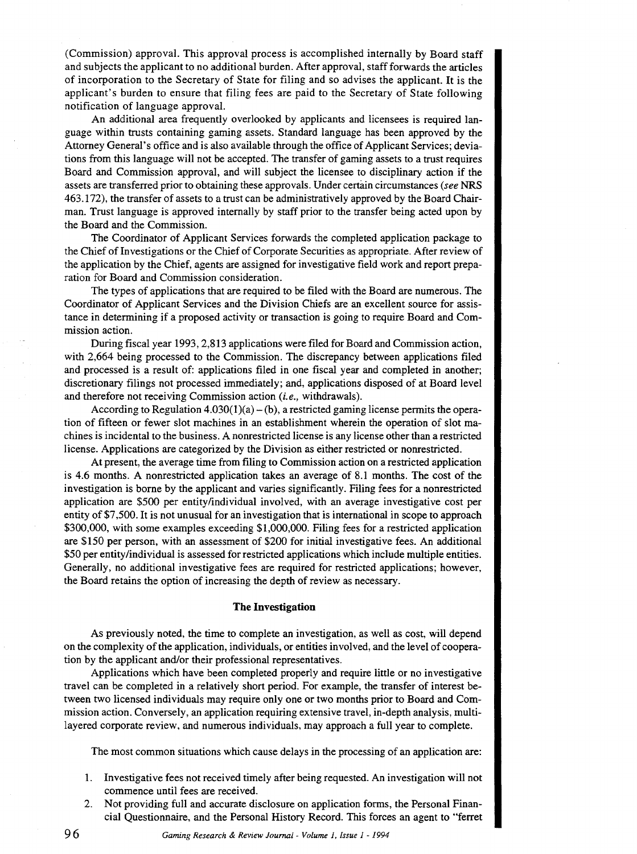(Commission) approval. This approval process is accomplished internally by Board staff and subjects the applicant to no additional burden. After approval, staff forwards the articles of incorporation to the Secretary of State for filing and so advises the applicant. It is the applicant's burden to ensure that filing fees are paid to the Secretary of State following notification of language approval.

An additional area frequently overlooked by applicants and licensees is required language within trusts containing gaming assets. Standard language has been approved by the Attorney General's office and is also available through the office of Applicant Services; deviations from this language will not be accepted. The transfer of gaming assets to a trust requires Board and Commission approval, and will subject the licensee to disciplinary action if the assets are transferred prior to obtaining these approvals. Under certain circumstances (see NRS 463.172), the transfer of assets to a trust can be administratively approved by the Board Chairman. Trust language is approved internally by staff prior to the transfer being acted upon by the Board and the Commission.

The Coordinator of Applicant Services forwards the completed application package to the Chief of Investigations or the Chief of Corporate Securities as appropriate. After review of the application by the Chief, agents are assigned for investigative field work and report preparation for Board and Commission consideration.

The types of applications that are required to be filed with the Board are numerous. The Coordinator of Applicant Services and the Division Chiefs are an excellent source for assistance in determining if a proposed activity or transaction is going to require Board and Commission action.

During fiscal year 1993, 2,813 applications were filed for Board and Commission action, with 2,664 being processed to the Commission. The discrepancy between applications filed and processed is a result of: applications filed in one fiscal year and completed in another; discretionary filings not processed immediately; and, applications disposed of at Board level and therefore not receiving Commission action (i.e., withdrawals).

According to Regulation  $4.030(1)(a) - (b)$ , a restricted gaming license permits the operation of fifteen or fewer slot machines in an establishment wherein the operation of slot machines is incidental to the business. A nonrestricted license is any license other than a restricted license. Applications are categorized by the Division as either restricted or nonrestricted.

At present, the average time from filing to Commission action on a restricted application is 4.6 months. A nonrestricted application takes an average of 8.1 months. The cost of the investigation is borne by the applicant and varies significantly. Filing fees for a nonrestricted application are \$500 per entity/individual involved, with an average investigative cost per entity of \$7,500. It is not unusual for an investigation that is international in scope to approach \$300,000, with some examples exceeding \$1,000,000. Filing fees for a restricted application are \$150 per person, with an assessment of \$200 for initial investigative fees. An additional \$50 per entity/individual is assessed for restricted applications which include multiple entities. Generally, no additional investigative fees are required for restricted applications; however, the Board retains the option of increasing the depth of review as necessary.

#### **The Investigation**

As previously noted, the time to complete an investigation, as well as cost, will depend on the complexity of the application, individuals, or entities involved, and the level of cooperation by the applicant and/or their professional representatives.

Applications which have been completed properly and require little or no investigative travel can be completed in a relatively short period. For example, the transfer of interest between two licensed individuals may require only one or two months prior to Board and Commission action. Conversely, an application requiring extensive travel, in-depth analysis, multilayered corporate review, and numerous individuals, may approach a full year to complete.

The most common situations which cause delays in the processing of an application are:

- 1. Investigative fees not received timely after being requested. An investigation will not commence until fees are received.
- 2. Not providing full and accurate disclosure on application forms, the Personal Financial Questionnaire, and the Personal History Record. This forces an agent to "ferret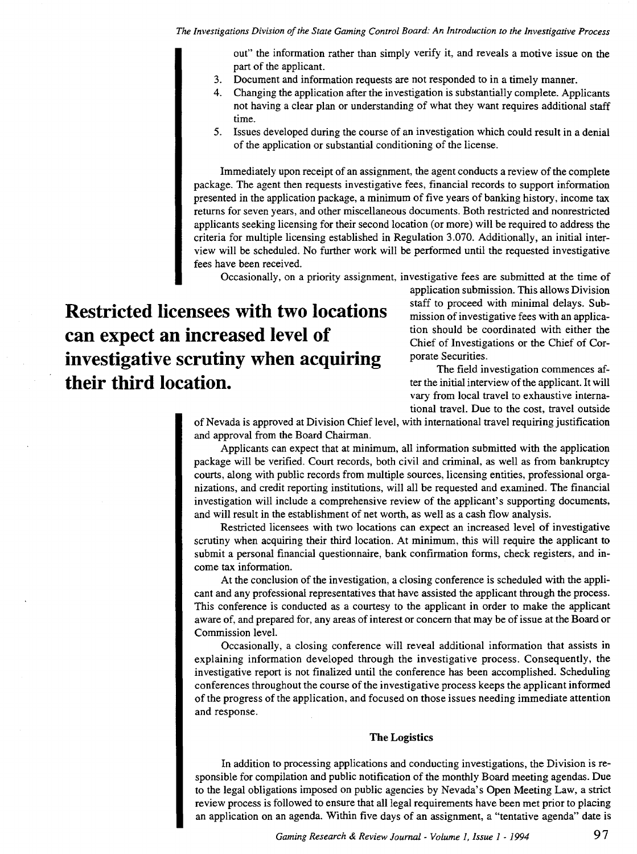*The Investigations Division of the State Gaming Control Board: An Introduction to the Investigative Process* 

out" the information rather than simply verify it, and reveals a motive issue on the part of the applicant.

- 3. Document and information requests are not responded to in a timely manner.
- 4. Changing the application after the investigation is substantially complete. Applicants not having a clear plan or understanding of what they want requires additional staff time.
- 5. Issues developed during the course of an investigation which could result in a denial of the application or substantial conditioning of the license.

Immediately upon receipt of an assignment, the agent conducts a review of the complete package. The agent then requests investigative fees, financial records to support information presented in the application package, a minimum of five years of banking history, income tax returns for seven years, and other miscellaneous documents. Both restricted and nonrestricted applicants seeking licensing for their second location (or more) will be required to address the criteria for multiple licensing established in Regulation 3.070. Additionally, an initial interview will be scheduled. No further work will be performed until the requested investigative fees have been received.

Occasionally, on a priority assignment, investigative fees are submitted at the time of

**Restricted licensees with two locations can expect an increased level of investigative scrutiny when acquiring their third location.** 

application submission. This allows Division staff to proceed with minimal delays. Submission of investigative fees with an application should be coordinated with either the Chief of Investigations or the Chief of Corporate Securities.

The field investigation commences after the initial interview of the applicant. It will vary from local travel to exhaustive international travel. Due to the cost, travel outside

of Nevada is approved at Division Chief level, with international travel requiring justification and approval from the Board Chairman.

Applicants can expect that at minimum, all information submitted with the application package will be verified. Court records, both civil and criminal, as well as from bankruptcy courts, along with public records from multiple sources, licensing entities, professional organizations, and credit reporting institutions, will all be requested and examined. The financial investigation will include a comprehensive review of the applicant's supporting documents, and will result in the establishment of net worth, as well as a cash flow analysis.

Restricted licensees with two locations can expect an increased level of investigative scrutiny when acquiring their third location. At minimum, this will require the applicant to submit a personal financial questionnaire, bank confirmation forms, check registers, and income tax information.

At the conclusion of the investigation, a closing conference is scheduled with the applicant and any professional representatives that have assisted the applicant through the process. This conference is conducted as a courtesy to the applicant in order to make the applicant aware of, and prepared for, any areas of interest or concern that may be of issue at the Board or Commission level.

Occasionally, a closing conference will reveal additional information that assists in explaining information developed through the investigative process. Consequently, the investigative report is not finalized until the conference has been accomplished. Scheduling conferences throughout the course of the investigative process keeps the applicant informed of the progress of the application, and focused on those issues needing immediate attention and response.

#### The Logistics

In addition to processing applications and conducting investigations, the Division is responsible for compilation and public notification of the monthly Board meeting agendas. Due to the legal obligations imposed on public agencies by Nevada's Open Meeting Law, a strict review process is followed to ensure that all legal requirements have been met prior to placing an application on an agenda. Within five days of an assignment, a "tentative agenda" date is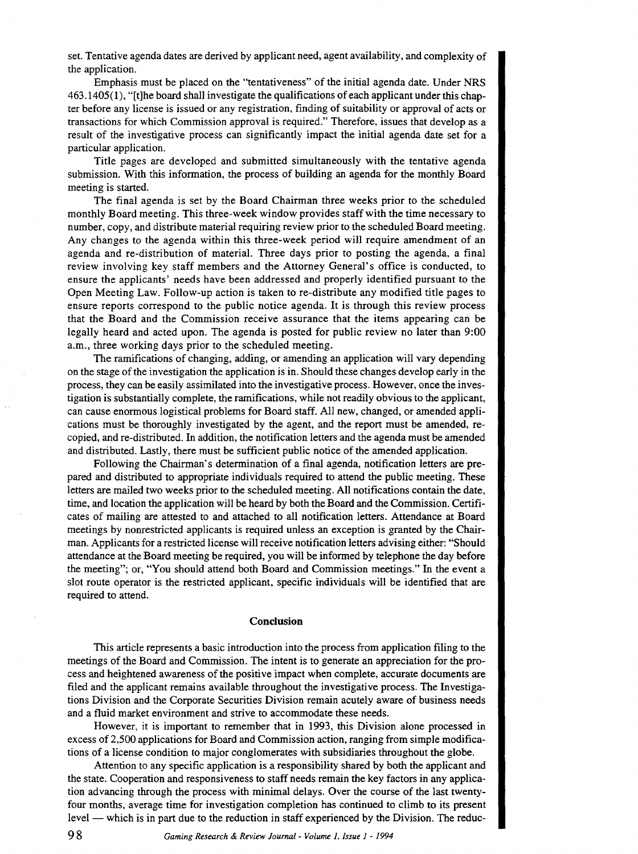set. Tentative agenda dates are derived by applicant need, agent availability, and complexity of the application.

Emphasis must be placed on the "tentativeness" of the initial agenda date. Under NRS 463.1405( I), "[t]he board shall investigate the qualifications of each applicant under this chapter before any license is issued or any registration, finding of suitability or approval of acts or transactions for which Commission approval is required." Therefore, issues that develop as a result of the investigative process can significantly impact the initial agenda date set for a particular application.

Title pages are developed and submitted simultaneously with the tentative agenda submission. With this information, the process of building an agenda for the monthly Board meeting is started.

The final agenda is set by the Board Chairman three weeks prior to the scheduled monthly Board meeting. This three-week window provides staff with the time necessary to number, copy, and distribute material requiring review prior to the scheduled Board meeting. Any changes to the agenda within this three-week period will require amendment of an agenda and re-distribution of material. Three days prior to posting the agenda, a final review involving key staff members and the Attorney General's office is conducted, to ensure the applicants' needs have been addressed and properly identified pursuant to the Open Meeting Law. Follow-up action is taken to re-distribute any modified title pages to ensure reports correspond to the public notice agenda. It is through this review process that the Board and the Commission receive assurance that the items appearing can be legally heard and acted upon. The agenda is posted for public review no later than 9:00 a.m., three working days prior to the scheduled meeting.

The ramifications of changing, adding, or amending an application will vary depending on the stage of the investigation the application is in. Should these changes develop early in the process, they can be easily assimilated into the investigative process. However, once the investigation is substantially complete, the ramifications, while not readily obvious to the applicant, can cause enormous logistical problems for Board staff. All new, changed, or amended applications must be thoroughly investigated by the agent, and the report must be amended, recopied, and re-distributed. In addition, the notification letters and the agenda must be amended and distributed. Lastly, there must be sufficient public notice ofthe amended application.

Following the Chairman's determination of a final agenda, notification letters are prepared and distributed to appropriate individuals required to attend the public meeting. These letters are mailed two weeks prior to the scheduled meeting. All notifications contain the date, time, and location the application will be heard by both the Board and the Commission. Certificates of mailing are attested to and attached to all notification letters. Attendance at Board meetings by nonrestricted applicants is required unless an exception is granted by the Chairman. Applicants for a restricted license will receive notification letters advising either: "Should attendance at the Board meeting be required, you will be informed by telephone the day before the meeting"; or, "You should attend both Board and Commission meetings." In the event a slot route operator is the restricted applicant, specific individuals will be identified that are required to attend.

#### **Conclusion**

This article represents a basic introduction into the process from application filing to the meetings of the Board and Commission. The intent is to generate an appreciation for the process and heightened awareness of the positive impact when complete, accurate documents are filed and the applicant remains available throughout the investigative process. The Investigations Division and the Corporate Securities Division remain acutely aware of business needs and a fluid market environment and strive to accommodate these needs.

However, it is important to remember that in 1993, this Division alone processed in excess of 2,500 applications for Board and Commission action, ranging from simple modifications of a license condition to major conglomerates with subsidiaries throughout the globe.

Attention to any specific application is a responsibility shared by both the applicant and the state. Cooperation and responsiveness to staff needs remain the key factors in any application advancing through the process with minimal delays. Over the course of the last twentyfour months, average time for investigation completion has continued to climb to its present level — which is in part due to the reduction in staff experienced by the Division. The reduc-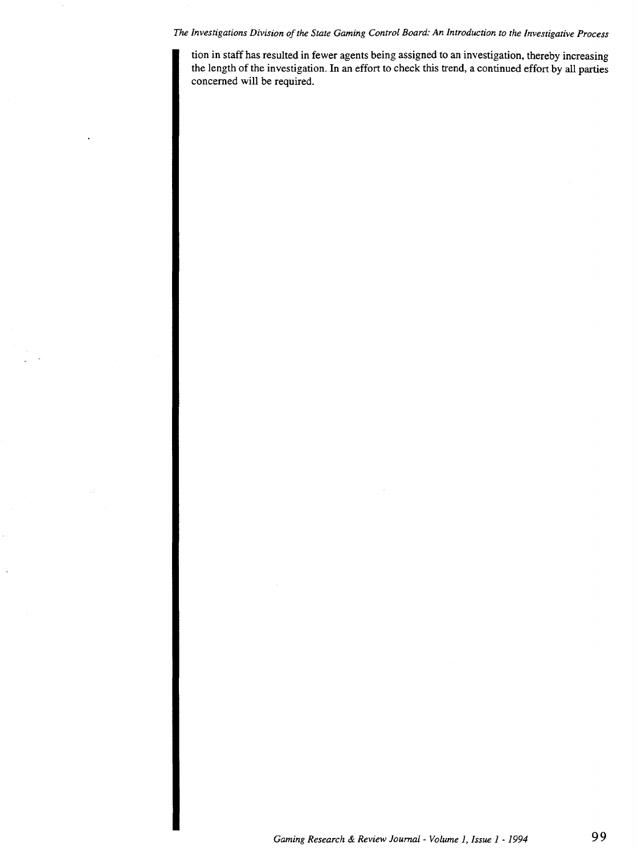## *The Investigations Division of the State Gaming Control Board: An Introduction to the Investigative Process*

tion in staff has resulted in fewer agents being assigned to an investigation, thereby increasing the length of the investigation. In an effort to check this trend, a continued effort by all parties concerned will be required.